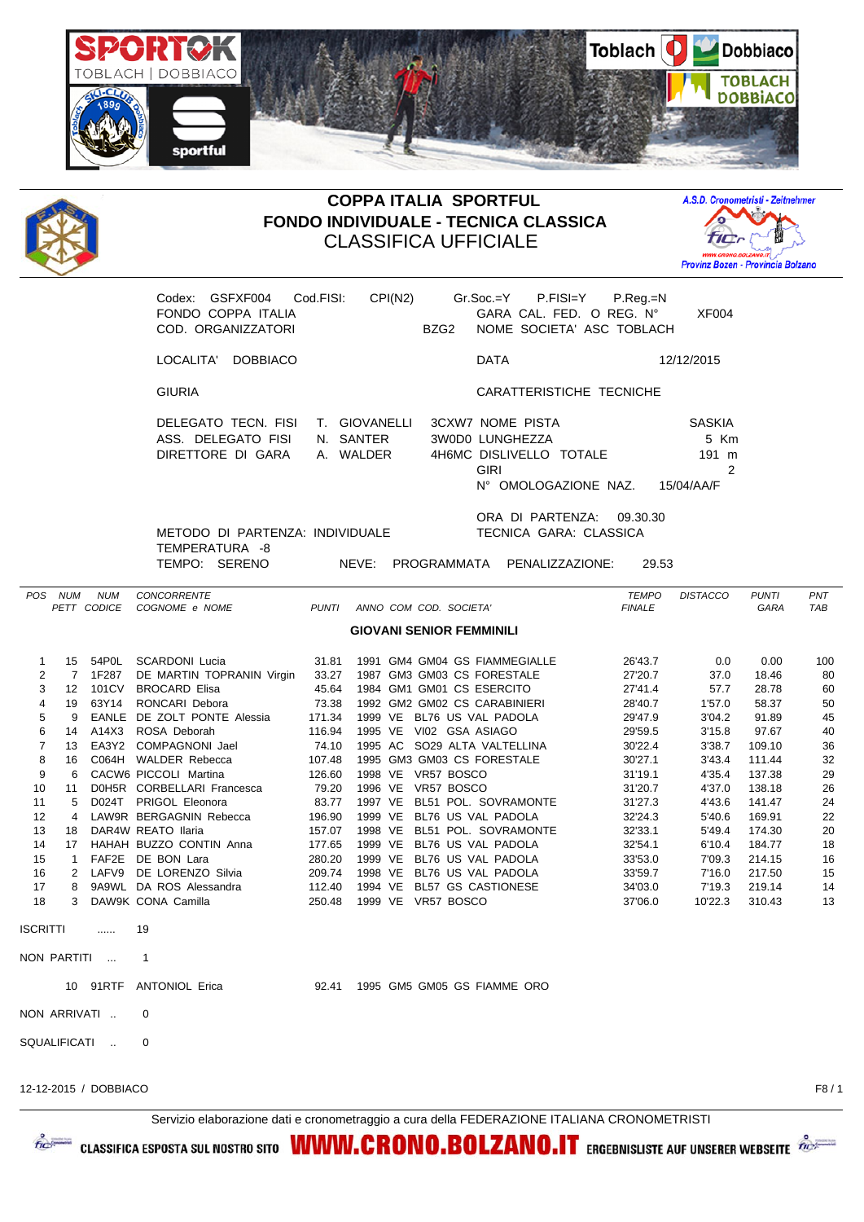



## **COPPA ITALIA SPORTFUL FONDO INDIVIDUALE - TECNICA CLASSICA** CLASSIFICA UFFICIALE



Codex: GSFXF004 Cod.FISI: CPI(N2) Gr.Soc.=Y P.FISI=Y P.Reg.=N FONDO COPPA ITALIA GARA CAL. FED. O REG. N° XF004 COD. ORGANIZZATORI BZG2 NOME SOCIETA' ASC TOBLACH LOCALITA' DOBBIACO DATA 12/12/2015 GIURIA CARATTERISTICHE TECNICHE DELEGATO TECN. FISI T. GIOVANELLI 3CXW7 NOME PISTA SASKIA ASS. DELEGATO FISI N. SANTER 3W0D0 LUNGHEZZA 5 Km DIRETTORE DI GARA A. WALDER 4H6MC DISLIVELLO TOTALE 191 m GIRI 2 N° OMOLOGAZIONE NAZ. 15/04/AA/F ORA DI PARTENZA: 09.30.30 METODO DI PARTENZA: INDIVIDUALE TECNICA GARA: CLASSICA TEMPERATURA -8<br>TEMPO: SERENO NEVE: PROGRAMMATA PENALIZZAZIONE: 29.53 **GIOVANI SENIOR FEMMINILI**

| POS.            | <b>NUM</b>          | <b>NUM</b><br>PETT CODICE | CONCORRENTE<br>COGNOME e NOME | <b>PUNTI</b> | ANNO COM COD. SOCIETA'               | <b>TEMPO</b><br><b>FINALE</b> | <b>DISTACCO</b> | <b>PUNTI</b><br><b>GARA</b> | PNT<br>TAB |
|-----------------|---------------------|---------------------------|-------------------------------|--------------|--------------------------------------|-------------------------------|-----------------|-----------------------------|------------|
|                 |                     |                           |                               |              |                                      |                               |                 |                             |            |
|                 |                     |                           |                               |              | <b>GIOVANI SENIOR FEMMINILI</b>      |                               |                 |                             |            |
| 1               | 15                  | 54P0L                     | <b>SCARDONI Lucia</b>         | 31.81        | 1991 GM4 GM04 GS FIAMMEGIALLE        | 26'43.7                       | 0.0             | 0.00                        | 100        |
| 2               | 7                   | 1F287                     | DE MARTIN TOPRANIN Virgin     | 33.27        | 1987 GM3 GM03 CS FORESTALE           | 27'20.7                       | 37.0            | 18.46                       | 80         |
| 3               | 12                  | 101CV                     | BROCARD Elisa                 | 45.64        | 1984 GM1 GM01 CS ESERCITO            | 27'41.4                       | 57.7            | 28.78                       | 60         |
| 4               | 19                  | 63Y14                     | RONCARI Debora                | 73.38        | 1992 GM2 GM02 CS CARABINIERI         | 28'40.7                       | 1'57.0          | 58.37                       | 50         |
| 5               | 9                   | <b>EANLE</b>              | DE ZOLT PONTE Alessia         | 171.34       | 1999 VE<br>BL76 US VAL PADOLA        | 29'47.9                       | 3'04.2          | 91.89                       | 45         |
| 6               | 14                  | A14X3                     | ROSA Deborah                  | 116.94       | 1995 VE<br>VI02 GSA ASIAGO           | 29'59.5                       | 3'15.8          | 97.67                       | 40         |
| 7               | 13                  | EA3Y2                     | <b>COMPAGNONI Jael</b>        | 74.10        | 1995 AC SO29 ALTA VALTELLINA         | 30'22.4                       | 3'38.7          | 109.10                      | 36         |
| 8               | 16                  |                           | C064H WALDER Rebecca          | 107.48       | 1995 GM3 GM03 CS FORESTALE           | 30'27.1                       | 3'43.4          | 111.44                      | 32         |
| 9               | 6                   |                           | CACW6 PICCOLI Martina         | 126.60       | VR57 BOSCO<br>1998 VE                | 31'19.1                       | 4'35.4          | 137.38                      | 29         |
| 10              | 11                  |                           | D0H5R CORBELLARI Francesca    | 79.20        | 1996 VE<br>VR57 BOSCO                | 31'20.7                       | 4'37.0          | 138.18                      | 26         |
| 11              | 5                   | D024T                     | PRIGOL Eleonora               | 83.77        | 1997 VE<br>BL51 POL. SOVRAMONTE      | 31'27.3                       | 4'43.6          | 141.47                      | 24         |
| 12              | 4                   |                           | LAW9R BERGAGNIN Rebecca       | 196.90       | BL76 US VAL PADOLA<br>1999 VE        | 32'24.3                       | 5'40.6          | 169.91                      | 22         |
| 13              | 18                  |                           | DAR4W REATO Ilaria            | 157.07       | 1998 VE<br>BL51 POL. SOVRAMONTE      | 32'33.1                       | 5'49.4          | 174.30                      | 20         |
| 14              | 17                  |                           | HAHAH BUZZO CONTIN Anna       | 177.65       | BL76 US VAL PADOLA<br>1999 VE        | 32'54.1                       | 6'10.4          | 184.77                      | 18         |
| 15              | -1                  | FAF2E                     | DE BON Lara                   | 280.20       | BL76 US VAL PADOLA<br>1999 VE        | 33'53.0                       | 7'09.3          | 214.15                      | 16         |
| 16              | 2                   | LAFV9                     | DE LORENZO Silvia             | 209.74       | 1998 VE<br>BL76 US VAL PADOLA        | 33'59.7                       | 7'16.0          | 217.50                      | 15         |
| 17              | 8                   |                           | 9A9WL DA ROS Alessandra       | 112.40       | 1994 VE<br><b>BL57 GS CASTIONESE</b> | 34'03.0                       | 7'19.3          | 219.14                      | 14         |
| 18              | 3                   |                           | DAW9K CONA Camilla            | 250.48       | 1999 VE<br>VR57 BOSCO                | 37'06.0                       | 10'22.3         | 310.43                      | 13         |
| <b>ISCRITTI</b> |                     | .                         | 19                            |              |                                      |                               |                 |                             |            |
|                 | NON PARTITI         | $\overline{\phantom{a}}$  | 1                             |              |                                      |                               |                 |                             |            |
|                 |                     |                           | 10 91RTF ANTONIOL Erica       | 92.41        | 1995 GM5 GM05 GS FIAMME ORO          |                               |                 |                             |            |
|                 |                     | NON ARRIVATI              | 0                             |              |                                      |                               |                 |                             |            |
|                 | <b>SQUALIFICATI</b> | $\ddot{\phantom{a}}$      | 0                             |              |                                      |                               |                 |                             |            |
|                 |                     |                           |                               |              |                                      |                               |                 |                             |            |

12-12-2015 / DOBBIACO F8 / 1